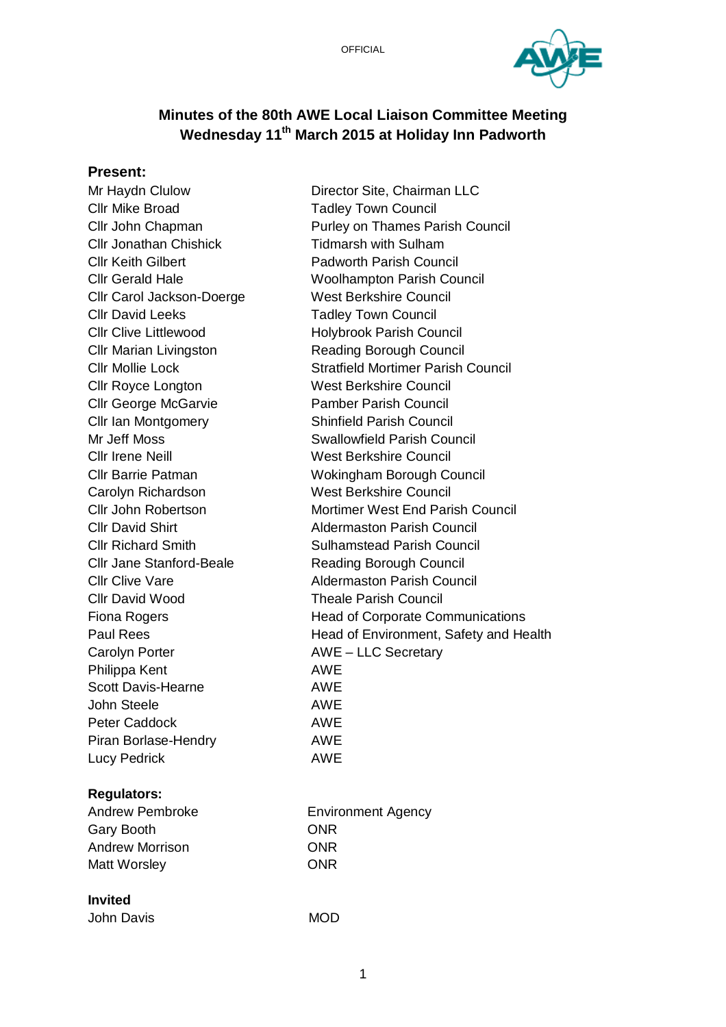

# **Minutes of the 80th AWE Local Liaison Committee Meeting Wednesday 11th March 2015 at Holiday Inn Padworth**

#### **Present:**

Cllr Mike Broad Tadley Town Council Cllr Jonathan Chishick Tidmarsh with Sulham Cllr Keith Gilbert Padworth Parish Council Cllr Carol Jackson-Doerge West Berkshire Council Cllr David Leeks Tadley Town Council Cllr Clive Littlewood Holybrook Parish Council Cllr Marian Livingston Reading Borough Council Cllr Royce Longton West Berkshire Council Cllr George McGarvie Pamber Parish Council Cllr Ian Montgomery Shinfield Parish Council Cllr Irene Neill West Berkshire Council Carolyn Richardson West Berkshire Council Cllr Jane Stanford-Beale Reading Borough Council Cllr David Wood Theale Parish Council Carolyn Porter **AWE – LLC Secretary** Philippa Kent AWE Scott Davis-Hearne **AWE** John Steele **AWE** Peter Caddock **AWE** Piran Borlase-Hendry **AWE** Lucy Pedrick **AWE** 

#### **Regulators:**

Gary Booth **ONR** Andrew Morrison **ONR** Matt Worsley **ONR** 

#### **Invited**

| John Davis | <b>MOD</b> |
|------------|------------|
|            |            |

Mr Haydn Clulow Director Site, Chairman LLC Cllr John Chapman Purley on Thames Parish Council Cllr Gerald Hale Woolhampton Parish Council Cllr Mollie Lock Stratfield Mortimer Parish Council Mr Jeff Moss Swallowfield Parish Council Cllr Barrie Patman Wokingham Borough Council Cllr John Robertson Mortimer West End Parish Council Cllr David Shirt **Aldermaston Parish Council Cllr Richard Smith Sulhamstead Parish Council Clir Clive Vare Clip Clip Clive Vare Aldermaston Parish Council** Fiona Rogers **Fiona Rogers** Head of Corporate Communications Paul Rees **Head of Environment, Safety and Health** 

Andrew Pembroke **Environment Agency**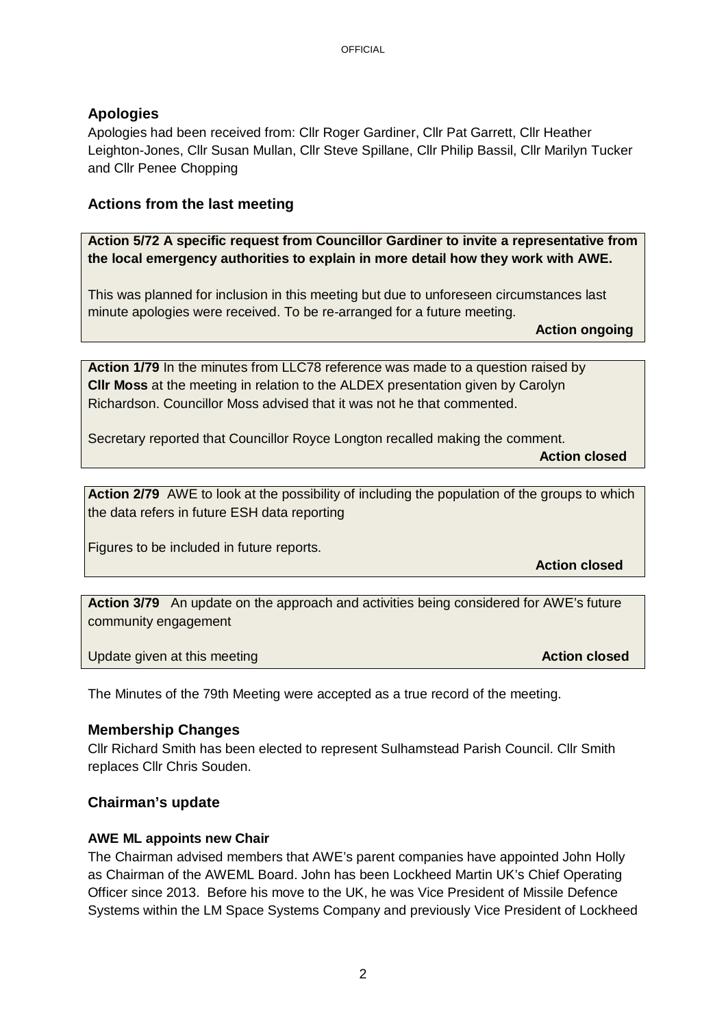## **Apologies**

Apologies had been received from: Cllr Roger Gardiner, Cllr Pat Garrett, Cllr Heather Leighton-Jones, Cllr Susan Mullan, Cllr Steve Spillane, Cllr Philip Bassil, Cllr Marilyn Tucker and Cllr Penee Chopping

## **Actions from the last meeting**

**Action 5/72 A specific request from Councillor Gardiner to invite a representative from the local emergency authorities to explain in more detail how they work with AWE.**

This was planned for inclusion in this meeting but due to unforeseen circumstances last minute apologies were received. To be re-arranged for a future meeting.

**Action ongoing** 

**Action 1/79** In the minutes from LLC78 reference was made to a question raised by **Cllr Moss** at the meeting in relation to the ALDEX presentation given by Carolyn Richardson. Councillor Moss advised that it was not he that commented.

Secretary reported that Councillor Royce Longton recalled making the comment.

**Action closed** 

**Action 2/79** AWE to look at the possibility of including the population of the groups to which the data refers in future ESH data reporting

Figures to be included in future reports.

**Action closed** 

**Action 3/79** An update on the approach and activities being considered for AWE's future community engagement

Update given at this meeting **Action closed Action closed Action closed Action closed** 

The Minutes of the 79th Meeting were accepted as a true record of the meeting.

## **Membership Changes**

Cllr Richard Smith has been elected to represent Sulhamstead Parish Council. Cllr Smith replaces Cllr Chris Souden.

## **Chairman's update**

#### **AWE ML appoints new Chair**

The Chairman advised members that AWE's parent companies have appointed John Holly as Chairman of the AWEML Board. John has been Lockheed Martin UK's Chief Operating Officer since 2013. Before his move to the UK, he was Vice President of Missile Defence Systems within the LM Space Systems Company and previously Vice President of Lockheed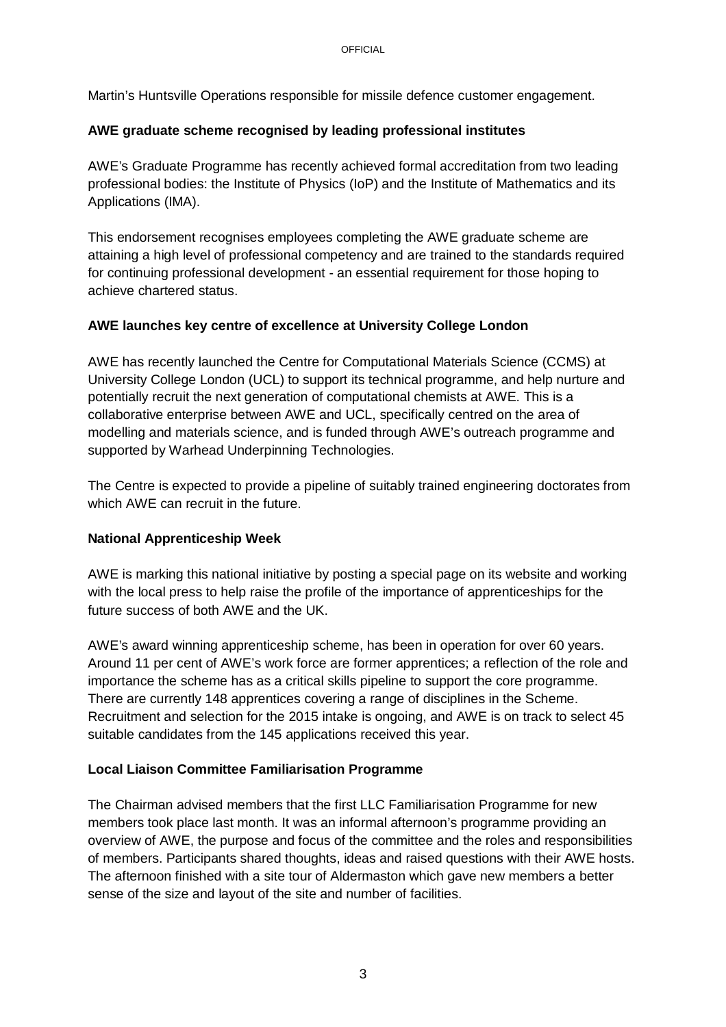Martin's Huntsville Operations responsible for missile defence customer engagement.

### **AWE graduate scheme recognised by leading professional institutes**

AWE's Graduate Programme has recently achieved formal accreditation from two leading professional bodies: the Institute of Physics (IoP) and the Institute of Mathematics and its Applications (IMA).

This endorsement recognises employees completing the AWE graduate scheme are attaining a high level of professional competency and are trained to the standards required for continuing professional development - an essential requirement for those hoping to achieve chartered status.

## **AWE launches key centre of excellence at University College London**

AWE has recently launched the Centre for Computational Materials Science (CCMS) at University College London (UCL) to support its technical programme, and help nurture and potentially recruit the next generation of computational chemists at AWE. This is a collaborative enterprise between AWE and UCL, specifically centred on the area of modelling and materials science, and is funded through AWE's outreach programme and supported by Warhead Underpinning Technologies.

The Centre is expected to provide a pipeline of suitably trained engineering doctorates from which AWE can recruit in the future.

## **National Apprenticeship Week**

AWE is marking this national initiative by posting a special page on its website and working with the local press to help raise the profile of the importance of apprenticeships for the future success of both AWE and the UK.

AWE's award winning apprenticeship scheme, has been in operation for over 60 years. Around 11 per cent of AWE's work force are former apprentices; a reflection of the role and importance the scheme has as a critical skills pipeline to support the core programme. There are currently 148 apprentices covering a range of disciplines in the Scheme. Recruitment and selection for the 2015 intake is ongoing, and AWE is on track to select 45 suitable candidates from the 145 applications received this year.

## **Local Liaison Committee Familiarisation Programme**

The Chairman advised members that the first LLC Familiarisation Programme for new members took place last month. It was an informal afternoon's programme providing an overview of AWE, the purpose and focus of the committee and the roles and responsibilities of members. Participants shared thoughts, ideas and raised questions with their AWE hosts. The afternoon finished with a site tour of Aldermaston which gave new members a better sense of the size and layout of the site and number of facilities.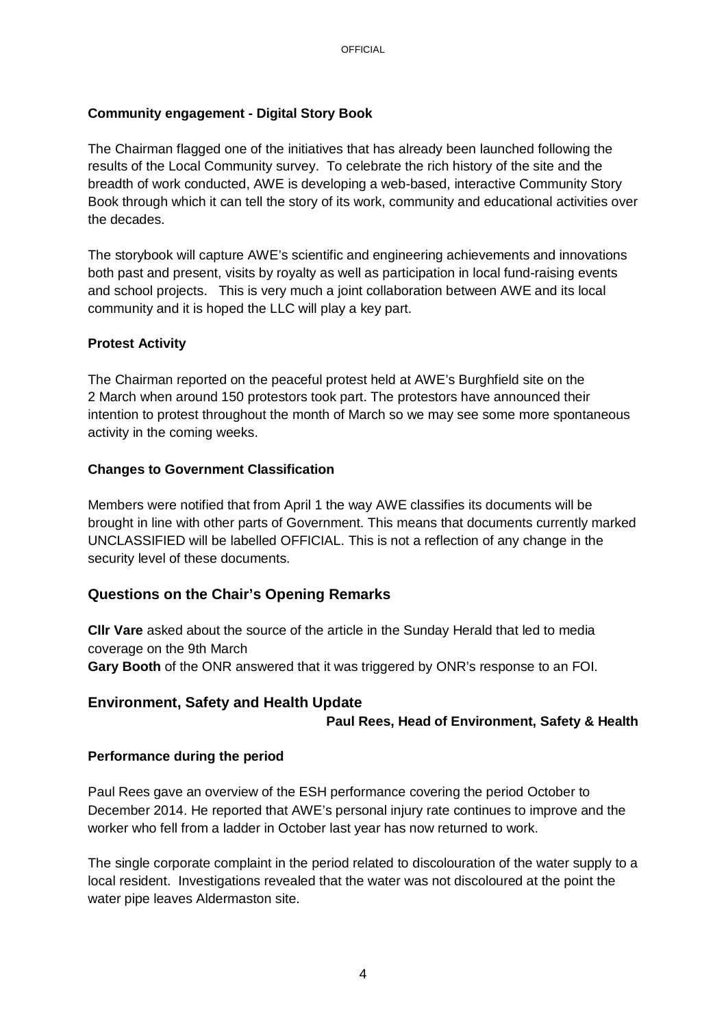## **Community engagement - Digital Story Book**

The Chairman flagged one of the initiatives that has already been launched following the results of the Local Community survey. To celebrate the rich history of the site and the breadth of work conducted, AWE is developing a web-based, interactive Community Story Book through which it can tell the story of its work, community and educational activities over the decades.

The storybook will capture AWE's scientific and engineering achievements and innovations both past and present, visits by royalty as well as participation in local fund-raising events and school projects. This is very much a joint collaboration between AWE and its local community and it is hoped the LLC will play a key part.

## **Protest Activity**

The Chairman reported on the peaceful protest held at AWE's Burghfield site on the 2 March when around 150 protestors took part. The protestors have announced their intention to protest throughout the month of March so we may see some more spontaneous activity in the coming weeks.

## **Changes to Government Classification**

Members were notified that from April 1 the way AWE classifies its documents will be brought in line with other parts of Government. This means that documents currently marked UNCLASSIFIED will be labelled OFFICIAL. This is not a reflection of any change in the security level of these documents.

## **Questions on the Chair's Opening Remarks**

**Cllr Vare** asked about the source of the article in the Sunday Herald that led to media coverage on the 9th March **Gary Booth** of the ONR answered that it was triggered by ONR's response to an FOI.

## **Environment, Safety and Health Update**

#### **Paul Rees, Head of Environment, Safety & Health**

## **Performance during the period**

Paul Rees gave an overview of the ESH performance covering the period October to December 2014. He reported that AWE's personal injury rate continues to improve and the worker who fell from a ladder in October last year has now returned to work.

The single corporate complaint in the period related to discolouration of the water supply to a local resident. Investigations revealed that the water was not discoloured at the point the water pipe leaves Aldermaston site.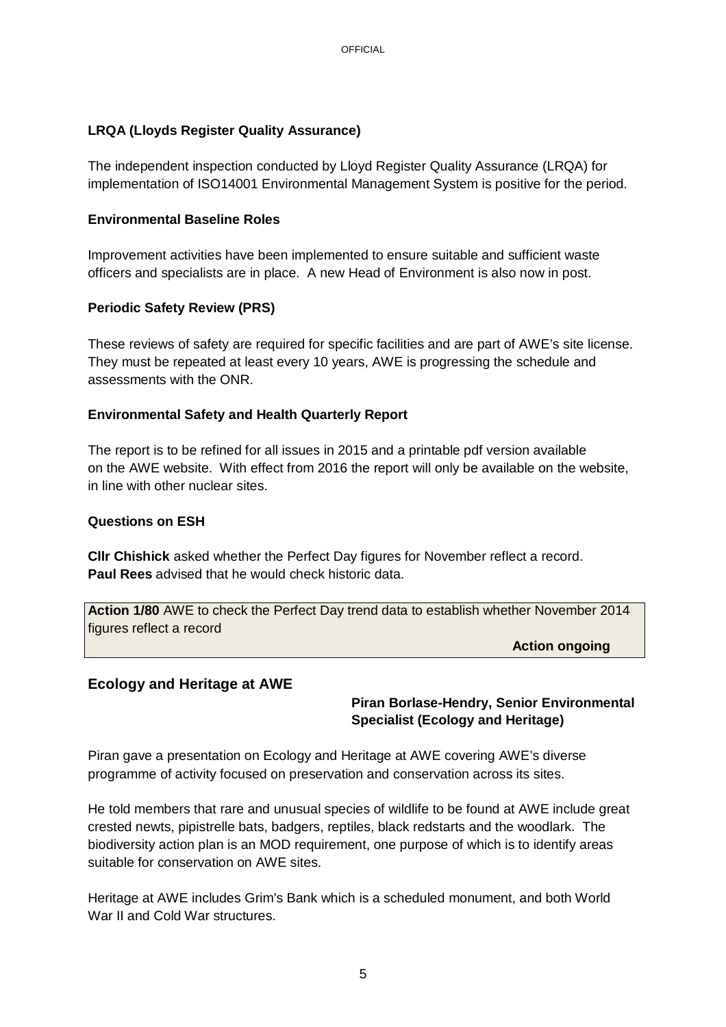## **LRQA (Lloyds Register Quality Assurance)**

The independent inspection conducted by Lloyd Register Quality Assurance (LRQA) for implementation of ISO14001 Environmental Management System is positive for the period.

#### **Environmental Baseline Roles**

Improvement activities have been implemented to ensure suitable and sufficient waste officers and specialists are in place. A new Head of Environment is also now in post.

### **Periodic Safety Review (PRS)**

These reviews of safety are required for specific facilities and are part of AWE's site license. They must be repeated at least every 10 years, AWE is progressing the schedule and assessments with the ONR.

### **Environmental Safety and Health Quarterly Report**

The report is to be refined for all issues in 2015 and a printable pdf version available on the AWE website. With effect from 2016 the report will only be available on the website, in line with other nuclear sites.

#### **Questions on ESH**

**Cllr Chishick** asked whether the Perfect Day figures for November reflect a record. **Paul Rees** advised that he would check historic data.

**Action 1/80** AWE to check the Perfect Day trend data to establish whether November 2014 figures reflect a record

**Action ongoing** 

## **Ecology and Heritage at AWE**

## **Piran Borlase-Hendry, Senior Environmental Specialist (Ecology and Heritage)**

Piran gave a presentation on Ecology and Heritage at AWE covering AWE's diverse programme of activity focused on preservation and conservation across its sites.

He told members that rare and unusual species of wildlife to be found at AWE include great crested newts, pipistrelle bats, badgers, reptiles, black redstarts and the woodlark. The biodiversity action plan is an MOD requirement, one purpose of which is to identify areas suitable for conservation on AWE sites.

Heritage at AWE includes Grim's Bank which is a scheduled monument, and both World War II and Cold War structures.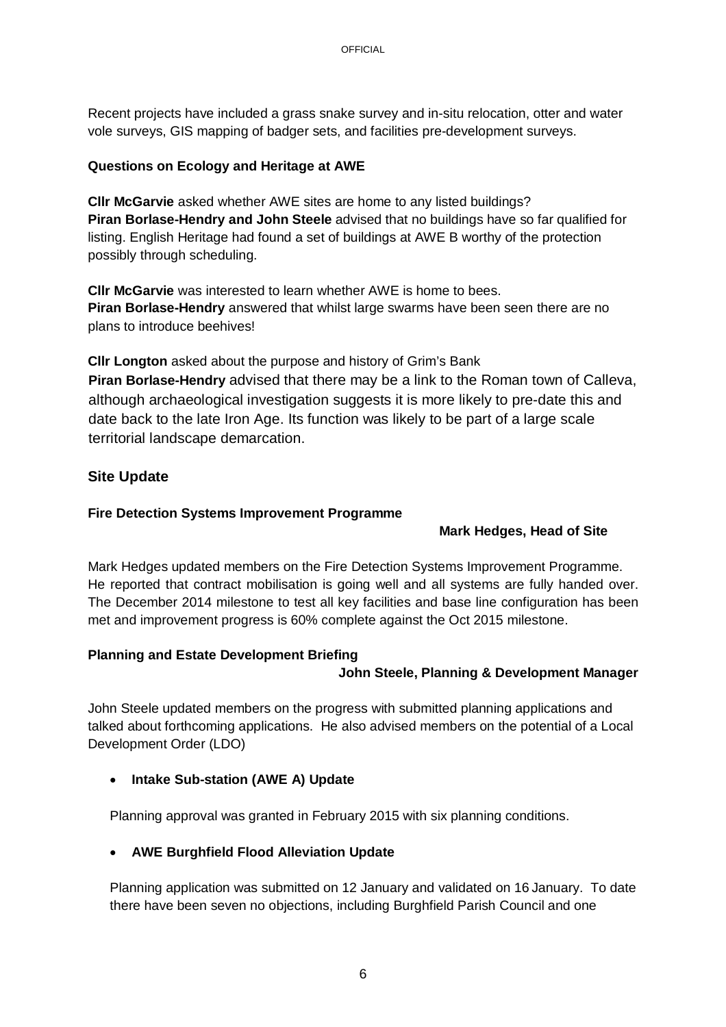Recent projects have included a grass snake survey and in-situ relocation, otter and water vole surveys, GIS mapping of badger sets, and facilities pre-development surveys.

### **Questions on Ecology and Heritage at AWE**

**Cllr McGarvie** asked whether AWE sites are home to any listed buildings? **Piran Borlase-Hendry and John Steele** advised that no buildings have so far qualified for listing. English Heritage had found a set of buildings at AWE B worthy of the protection possibly through scheduling.

**Cllr McGarvie** was interested to learn whether AWE is home to bees. **Piran Borlase-Hendry** answered that whilst large swarms have been seen there are no plans to introduce beehives!

**Cllr Longton** asked about the purpose and history of Grim's Bank **Piran Borlase-Hendry** advised that there may be a link to the Roman town of Calleva, although archaeological investigation suggests it is more likely to pre-date this and date back to the late Iron Age. Its function was likely to be part of a large scale territorial landscape demarcation.

## **Site Update**

### **Fire Detection Systems Improvement Programme**

## **Mark Hedges, Head of Site**

Mark Hedges updated members on the Fire Detection Systems Improvement Programme. He reported that contract mobilisation is going well and all systems are fully handed over. The December 2014 milestone to test all key facilities and base line configuration has been met and improvement progress is 60% complete against the Oct 2015 milestone.

#### **Planning and Estate Development Briefing**

## **John Steele, Planning & Development Manager**

John Steele updated members on the progress with submitted planning applications and talked about forthcoming applications. He also advised members on the potential of a Local Development Order (LDO)

## **Intake Sub-station (AWE A) Update**

Planning approval was granted in February 2015 with six planning conditions.

## **AWE Burghfield Flood Alleviation Update**

Planning application was submitted on 12 January and validated on 16 January. To date there have been seven no objections, including Burghfield Parish Council and one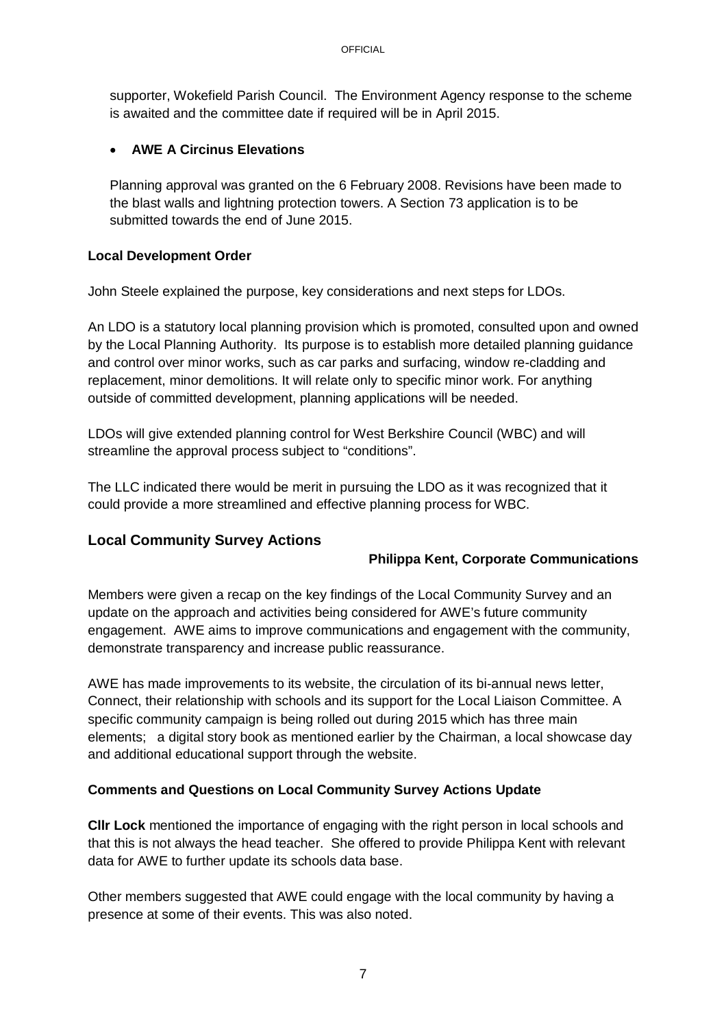supporter, Wokefield Parish Council. The Environment Agency response to the scheme is awaited and the committee date if required will be in April 2015.

## **AWE A Circinus Elevations**

Planning approval was granted on the 6 February 2008. Revisions have been made to the blast walls and lightning protection towers. A Section 73 application is to be submitted towards the end of June 2015.

## **Local Development Order**

John Steele explained the purpose, key considerations and next steps for LDOs.

An LDO is a statutory local planning provision which is promoted, consulted upon and owned by the Local Planning Authority. Its purpose is to establish more detailed planning guidance and control over minor works, such as car parks and surfacing, window re-cladding and replacement, minor demolitions. It will relate only to specific minor work. For anything outside of committed development, planning applications will be needed.

LDOs will give extended planning control for West Berkshire Council (WBC) and will streamline the approval process subject to "conditions".

The LLC indicated there would be merit in pursuing the LDO as it was recognized that it could provide a more streamlined and effective planning process for WBC.

# **Local Community Survey Actions**

## **Philippa Kent, Corporate Communications**

Members were given a recap on the key findings of the Local Community Survey and an update on the approach and activities being considered for AWE's future community engagement. AWE aims to improve communications and engagement with the community, demonstrate transparency and increase public reassurance.

AWE has made improvements to its website, the circulation of its bi-annual news letter, Connect, their relationship with schools and its support for the Local Liaison Committee. A specific community campaign is being rolled out during 2015 which has three main elements; a digital story book as mentioned earlier by the Chairman, a local showcase day and additional educational support through the website.

## **Comments and Questions on Local Community Survey Actions Update**

**Cllr Lock** mentioned the importance of engaging with the right person in local schools and that this is not always the head teacher. She offered to provide Philippa Kent with relevant data for AWE to further update its schools data base.

Other members suggested that AWE could engage with the local community by having a presence at some of their events. This was also noted.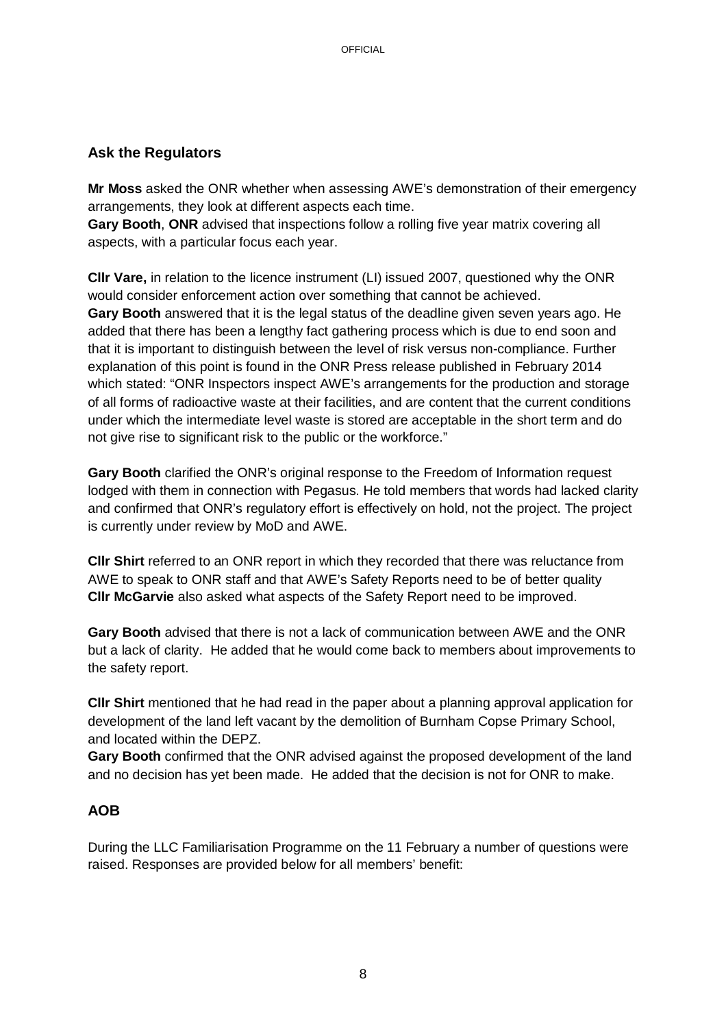## **Ask the Regulators**

**Mr Moss** asked the ONR whether when assessing AWE's demonstration of their emergency arrangements, they look at different aspects each time.

**Gary Booth**, **ONR** advised that inspections follow a rolling five year matrix covering all aspects, with a particular focus each year.

**Cllr Vare,** in relation to the licence instrument (LI) issued 2007, questioned why the ONR would consider enforcement action over something that cannot be achieved. **Gary Booth** answered that it is the legal status of the deadline given seven years ago. He added that there has been a lengthy fact gathering process which is due to end soon and that it is important to distinguish between the level of risk versus non-compliance. Further explanation of this point is found in the ONR Press release published in February 2014 which stated: "ONR Inspectors inspect AWE's arrangements for the production and storage of all forms of radioactive waste at their facilities, and are content that the current conditions under which the intermediate level waste is stored are acceptable in the short term and do not give rise to significant risk to the public or the workforce."

**Gary Booth** clarified the ONR's original response to the Freedom of Information request lodged with them in connection with Pegasus. He told members that words had lacked clarity and confirmed that ONR's regulatory effort is effectively on hold, not the project. The project is currently under review by MoD and AWE.

**Cllr Shirt** referred to an ONR report in which they recorded that there was reluctance from AWE to speak to ONR staff and that AWE's Safety Reports need to be of better quality **Cllr McGarvie** also asked what aspects of the Safety Report need to be improved.

**Gary Booth** advised that there is not a lack of communication between AWE and the ONR but a lack of clarity. He added that he would come back to members about improvements to the safety report.

**Cllr Shirt** mentioned that he had read in the paper about a planning approval application for development of the land left vacant by the demolition of Burnham Copse Primary School, and located within the DEPZ.

**Gary Booth** confirmed that the ONR advised against the proposed development of the land and no decision has yet been made. He added that the decision is not for ONR to make.

# **AOB**

During the LLC Familiarisation Programme on the 11 February a number of questions were raised. Responses are provided below for all members' benefit: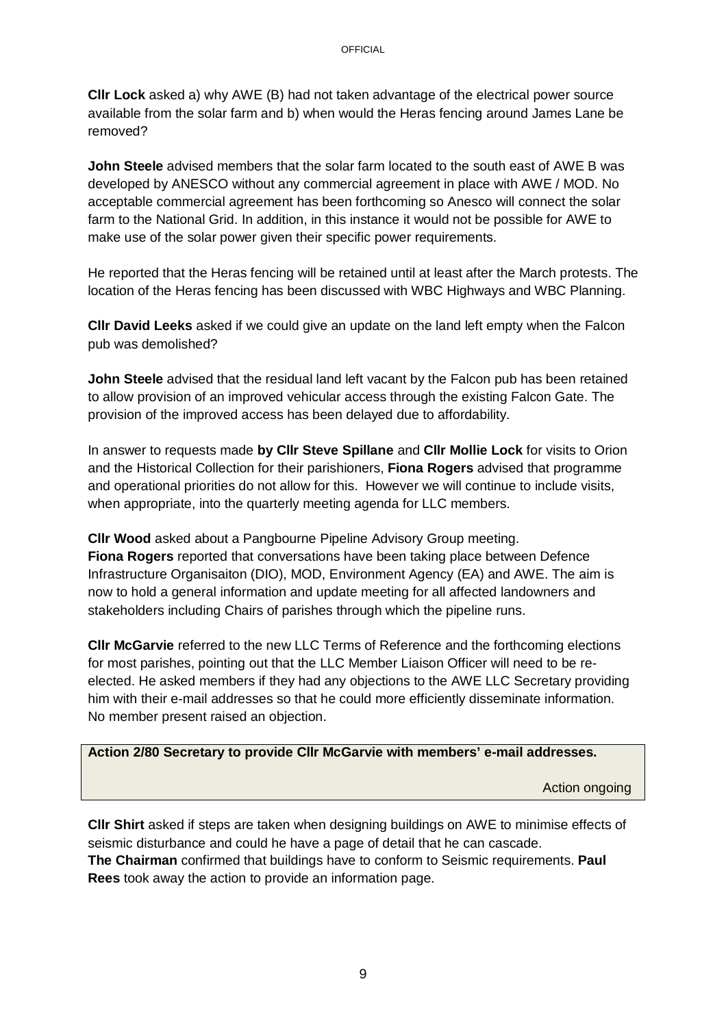**Cllr Lock** asked a) why AWE (B) had not taken advantage of the electrical power source available from the solar farm and b) when would the Heras fencing around James Lane be removed?

**John Steele** advised members that the solar farm located to the south east of AWE B was developed by ANESCO without any commercial agreement in place with AWE / MOD. No acceptable commercial agreement has been forthcoming so Anesco will connect the solar farm to the National Grid. In addition, in this instance it would not be possible for AWE to make use of the solar power given their specific power requirements.

He reported that the Heras fencing will be retained until at least after the March protests. The location of the Heras fencing has been discussed with WBC Highways and WBC Planning.

**Cllr David Leeks** asked if we could give an update on the land left empty when the Falcon pub was demolished?

**John Steele** advised that the residual land left vacant by the Falcon pub has been retained to allow provision of an improved vehicular access through the existing Falcon Gate. The provision of the improved access has been delayed due to affordability.

In answer to requests made **by Cllr Steve Spillane** and **Cllr Mollie Lock** for visits to Orion and the Historical Collection for their parishioners, **Fiona Rogers** advised that programme and operational priorities do not allow for this. However we will continue to include visits, when appropriate, into the quarterly meeting agenda for LLC members.

**Cllr Wood** asked about a Pangbourne Pipeline Advisory Group meeting. **Fiona Rogers** reported that conversations have been taking place between Defence Infrastructure Organisaiton (DIO), MOD, Environment Agency (EA) and AWE. The aim is now to hold a general information and update meeting for all affected landowners and stakeholders including Chairs of parishes through which the pipeline runs.

**Cllr McGarvie** referred to the new LLC Terms of Reference and the forthcoming elections for most parishes, pointing out that the LLC Member Liaison Officer will need to be reelected. He asked members if they had any objections to the AWE LLC Secretary providing him with their e-mail addresses so that he could more efficiently disseminate information. No member present raised an objection.

**Action 2/80 Secretary to provide Cllr McGarvie with members' e-mail addresses.**

Action ongoing

**Cllr Shirt** asked if steps are taken when designing buildings on AWE to minimise effects of seismic disturbance and could he have a page of detail that he can cascade. **The Chairman** confirmed that buildings have to conform to Seismic requirements. **Paul Rees** took away the action to provide an information page.